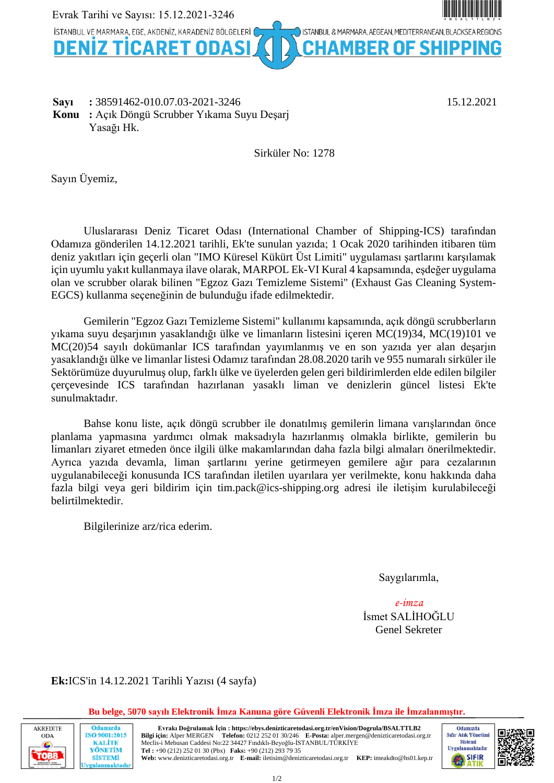

**Sayı** :  $38591462-010.07.03-2021-3246$  15.12.2021 **Konu :** Açık Döngü Scrubber Yıkama Suyu Deşarj Yasağı Hk.

Sirküler No: 1278

Sayın Üyemiz,

Uluslararası Deniz Ticaret Odası (International Chamber of Shipping-ICS) tarafından Odamıza gönderilen 14.12.2021 tarihli, Ek'te sunulan yazıda; 1 Ocak 2020 tarihinden itibaren tüm deniz yakıtları için geçerli olan "IMO Küresel Kükürt Üst Limiti" uygulaması şartlarını karşılamak için uyumlu yakıt kullanmaya ilave olarak, MARPOL Ek-VI Kural 4 kapsamında, eşdeğer uygulama olan ve scrubber olarak bilinen "Egzoz Gazı Temizleme Sistemi" (Exhaust Gas Cleaning System-EGCS) kullanma seçeneğinin de bulunduğu ifade edilmektedir.

Gemilerin "Egzoz Gazı Temizleme Sistemi" kullanımı kapsamında, açık döngü scrubberların yıkama suyu deşarjının yasaklandığı ülke ve limanların listesini içeren MC(19)34, MC(19)101 ve MC(20)54 sayılı dokümanlar ICS tarafından yayımlanmış ve en son yazıda yer alan deşarjın yasaklandığı ülke ve limanlar listesi Odamız tarafından 28.08.2020 tarih ve 955 numaralı sirküler ile Sektörümüze duyurulmuş olup, farklı ülke ve üyelerden gelen geri bildirimlerden elde edilen bilgiler çerçevesinde ICS tarafından hazırlanan yasaklı liman ve denizlerin güncel listesi Ek'te sunulmaktadır.

Bahse konu liste, açık döngü scrubber ile donatılmış gemilerin limana varışlarından önce planlama yapmasına yardımcı olmak maksadıyla hazırlanmış olmakla birlikte, gemilerin bu limanları ziyaret etmeden önce ilgili ülke makamlarından daha fazla bilgi almaları önerilmektedir. Ayrıca yazıda devamla, liman şartlarını yerine getirmeyen gemilere ağır para cezalarının uygulanabileceği konusunda ICS tarafından iletilen uyarılara yer verilmekte, konu hakkında daha fazla bilgi veya geri bildirim için tim.pack@ics-shipping.org adresi ile iletişim kurulabileceği belirtilmektedir.

Bilgilerinize arz/rica ederim.

Saygılarımla,

*e-imza* İsmet SALİHOĞLU Genel Sekreter

**Ek:**ICS'in 14.12.2021 Tarihli Yazısı (4 sayfa)

Odamızda

**ISO 9001:2015 KALITE** 

YÖNETİM

**SİSTEMİ** rulanmaktadı

#### **Bu belge, 5070 sayılı Elektronik İmza Kanuna göre Güvenli Elektronik İmza ile İmzalanmıştır.**



**Evrakı Doğrulamak İçin : https://ebys.denizticaretodasi.org.tr/enVision/Dogrula/BSALTTLB2 Bilgi için:** Alper MERGEN **Telefon:** 0212 252 01 30/246 **E-Posta:** alper.mergen@denizticaretodasi.org.tr Meclis-i Mebusan Caddesi No:22 34427 Fındıklı-Beyoğlu-İSTANBUL/TÜRKİYE **Tel :** +90 (212) 252 01 30 (Pbx) **Faks:** +90 (212) 293 79 35 **Web:** www.denizticaretodasi.org.tr **E-mail:** iletisim@denizticaretodasi.org.tr **KEP:** imeakdto@hs01.kep.tr



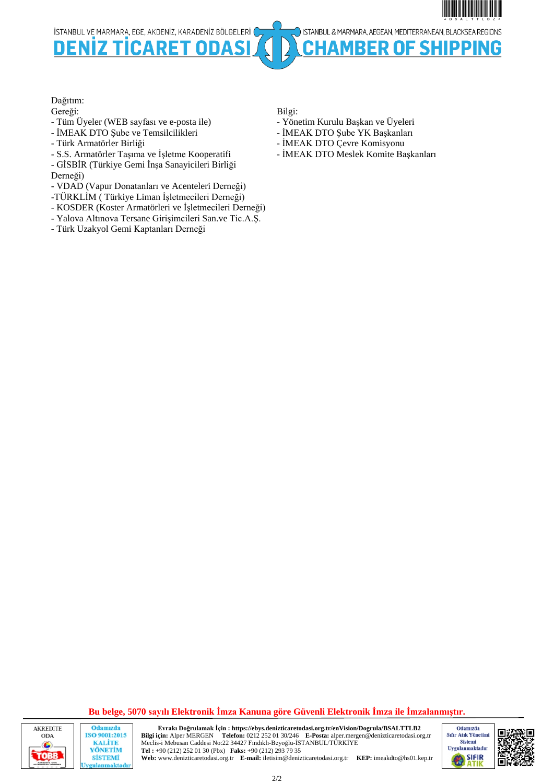\*BSALTTLB2\*BSALTTLB2\*BSALTTLB2\*BSALTTLB2\*BSALTTLB3\*BSALTTLB3\*BSALTTLB3\*BSALTTLB3\*BSALTTLB3\*BSALTTLB3\*BSALTTLB3\*B ISTANBUL & MARMARA, AEGEAN, MEDITERRANEAN, BLACKSEA REGIONS İSTANBUL VE MARMARA, EGE, AKDENİZ, KARADENİZ BÖLGELERİ ( OF SHIPPING DEN nn ER

### Dağıtım:

Gereği:

- Tüm Üyeler (WEB sayfası ve e-posta ile)
- İMEAK DTO Şube ve Temsilcilikleri
- Türk Armatörler Birliği
- S.S. Armatörler Taşıma ve İşletme Kooperatifi
- GİSBİR (Türkiye Gemi İnşa Sanayicileri Birliği
- Derneği)
- VDAD (Vapur Donatanları ve Acenteleri Derneği)
- -TÜRKLİM ( Türkiye Liman İşletmecileri Derneği)
- KOSDER (Koster Armatörleri ve İşletmecileri Derneği)
- Yalova Altınova Tersane Girişimcileri San.ve Tic.A.Ş.
- Türk Uzakyol Gemi Kaptanları Derneği

Bilgi:

- Yönetim Kurulu Başkan ve Üyeleri
- İMEAK DTO Şube YK Başkanları
- İMEAK DTO Çevre Komisyonu
- İMEAK DTO Meslek Komite Başkanları

**Bu belge, 5070 sayılı Elektronik İmza Kanuna göre Güvenli Elektronik İmza ile İmzalanmıştır.**



2/2

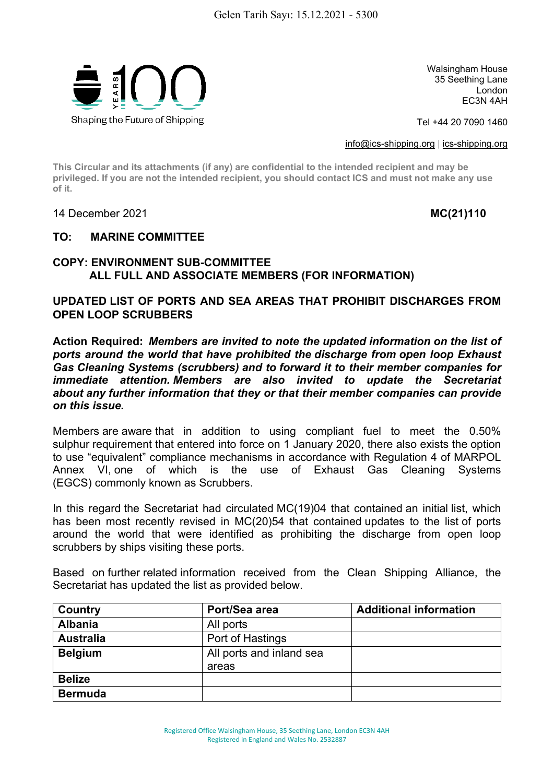

Walsingham House 35 Seething Lane London EC3N 4AH

Tel +44 20 7090 1460

[info@ics-shipping.org](mailto:info@ics-shipping.org) | [ics-shipping.org](http://www.ics-shipping.org/)

**This Circular and its attachments (if any) are confidential to the intended recipient and may be privileged. If you are not the intended recipient, you should contact ICS and must not make any use of it.**

14 December 2021 **MC(21)110**

## **TO: MARINE COMMITTEE**

# **COPY: ENVIRONMENT SUB-COMMITTEE ALL FULL AND ASSOCIATE MEMBERS (FOR INFORMATION)**

# **UPDATED LIST OF PORTS AND SEA AREAS THAT PROHIBIT DISCHARGES FROM OPEN LOOP SCRUBBERS**

**Action Required:** *Members are invited to note the updated information on the list of ports around the world that have prohibited the discharge from open loop Exhaust Gas Cleaning Systems (scrubbers) and to forward it to their member companies for immediate attention. Members are also invited to update the Secretariat about any further information that they or that their member companies can provide on this issue.* 

Members are aware that in addition to using compliant fuel to meet the 0.50% sulphur requirement that entered into force on 1 January 2020, there also exists the option to use "equivalent" compliance mechanisms in accordance with Regulation 4 of MARPOL Annex VI, one of which is the use of Exhaust Gas Cleaning Systems (EGCS) commonly known as Scrubbers.

In this regard the Secretariat had circulated MC(19)04 that contained an initial list, which has been most recently revised in MC(20)54 that contained updates to the list of ports around the world that were identified as prohibiting the discharge from open loop scrubbers by ships visiting these ports.

Based on further related information received from the Clean Shipping Alliance, the Secretariat has updated the list as provided below.

| Country          | Port/Sea area            | <b>Additional information</b> |
|------------------|--------------------------|-------------------------------|
| <b>Albania</b>   | All ports                |                               |
| <b>Australia</b> | Port of Hastings         |                               |
| <b>Belgium</b>   | All ports and inland sea |                               |
|                  | areas                    |                               |
| <b>Belize</b>    |                          |                               |
| <b>Bermuda</b>   |                          |                               |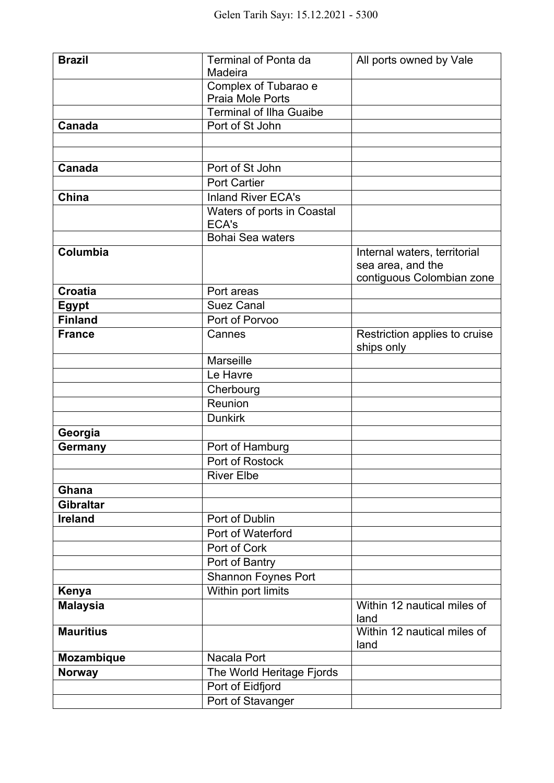| <b>Brazil</b>    | <b>Terminal of Ponta da</b><br>Madeira | All ports owned by Vale                                                        |
|------------------|----------------------------------------|--------------------------------------------------------------------------------|
|                  | Complex of Tubarao e                   |                                                                                |
|                  | Praia Mole Ports                       |                                                                                |
|                  | <b>Terminal of Ilha Guaibe</b>         |                                                                                |
| Canada           | Port of St John                        |                                                                                |
|                  |                                        |                                                                                |
|                  |                                        |                                                                                |
| Canada           | Port of St John                        |                                                                                |
|                  | <b>Port Cartier</b>                    |                                                                                |
| China            | <b>Inland River ECA's</b>              |                                                                                |
|                  | Waters of ports in Coastal<br>ECA's    |                                                                                |
|                  | <b>Bohai Sea waters</b>                |                                                                                |
| Columbia         |                                        | Internal waters, territorial<br>sea area, and the<br>contiguous Colombian zone |
| <b>Croatia</b>   | Port areas                             |                                                                                |
| <b>Egypt</b>     | <b>Suez Canal</b>                      |                                                                                |
| <b>Finland</b>   | Port of Porvoo                         |                                                                                |
| <b>France</b>    | Cannes                                 | Restriction applies to cruise<br>ships only                                    |
|                  | <b>Marseille</b>                       |                                                                                |
|                  | Le Havre                               |                                                                                |
|                  | Cherbourg                              |                                                                                |
|                  | Reunion                                |                                                                                |
|                  | <b>Dunkirk</b>                         |                                                                                |
| Georgia          |                                        |                                                                                |
| <b>Germany</b>   | Port of Hamburg                        |                                                                                |
|                  | Port of Rostock                        |                                                                                |
|                  | <b>River Elbe</b>                      |                                                                                |
| Ghana            |                                        |                                                                                |
| <b>Gibraltar</b> |                                        |                                                                                |
| <b>Ireland</b>   | Port of Dublin<br>Port of Waterford    |                                                                                |
|                  | Port of Cork                           |                                                                                |
|                  | Port of Bantry                         |                                                                                |
|                  | <b>Shannon Foynes Port</b>             |                                                                                |
| Kenya            | Within port limits                     |                                                                                |
| <b>Malaysia</b>  |                                        | Within 12 nautical miles of                                                    |
|                  |                                        | land                                                                           |
| <b>Mauritius</b> |                                        | Within 12 nautical miles of<br>land                                            |
| Mozambique       | Nacala Port                            |                                                                                |
| <b>Norway</b>    | The World Heritage Fjords              |                                                                                |
|                  | Port of Eidfjord                       |                                                                                |
|                  | Port of Stavanger                      |                                                                                |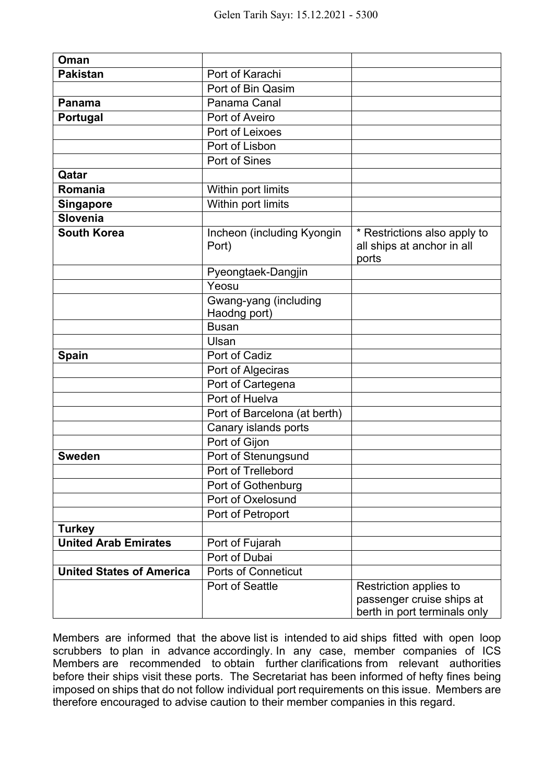| Oman                            |                                       |                                                                     |
|---------------------------------|---------------------------------------|---------------------------------------------------------------------|
| <b>Pakistan</b>                 | Port of Karachi                       |                                                                     |
|                                 | Port of Bin Qasim                     |                                                                     |
| <b>Panama</b>                   | Panama Canal                          |                                                                     |
| <b>Portugal</b>                 | Port of Aveiro                        |                                                                     |
|                                 | Port of Leixoes                       |                                                                     |
|                                 | Port of Lisbon                        |                                                                     |
|                                 | Port of Sines                         |                                                                     |
| Qatar                           |                                       |                                                                     |
| Romania                         | Within port limits                    |                                                                     |
| <b>Singapore</b>                | Within port limits                    |                                                                     |
| <b>Slovenia</b>                 |                                       |                                                                     |
| <b>South Korea</b>              | Incheon (including Kyongin<br>Port)   | * Restrictions also apply to<br>all ships at anchor in all<br>ports |
|                                 | Pyeongtaek-Dangjin                    |                                                                     |
|                                 | Yeosu                                 |                                                                     |
|                                 | Gwang-yang (including<br>Haodng port) |                                                                     |
|                                 | <b>Busan</b>                          |                                                                     |
|                                 | Ulsan                                 |                                                                     |
| Spain                           | Port of Cadiz                         |                                                                     |
|                                 | Port of Algeciras                     |                                                                     |
|                                 | Port of Cartegena                     |                                                                     |
|                                 | Port of Huelva                        |                                                                     |
|                                 | Port of Barcelona (at berth)          |                                                                     |
|                                 | Canary islands ports                  |                                                                     |
|                                 | Port of Gijon                         |                                                                     |
| <b>Sweden</b>                   | Port of Stenungsund                   |                                                                     |
|                                 | Port of Trellebord                    |                                                                     |
|                                 | Port of Gothenburg                    |                                                                     |
|                                 | Port of Oxelosund                     |                                                                     |
|                                 | Port of Petroport                     |                                                                     |
| <b>Turkey</b>                   |                                       |                                                                     |
| <b>United Arab Emirates</b>     | Port of Fujarah                       |                                                                     |
|                                 | Port of Dubai                         |                                                                     |
| <b>United States of America</b> | <b>Ports of Conneticut</b>            |                                                                     |
|                                 | Port of Seattle                       | Restriction applies to                                              |
|                                 |                                       | passenger cruise ships at<br>berth in port terminals only           |

Members are informed that the above list is intended to aid ships fitted with open loop scrubbers to plan in advance accordingly. In any case, member companies of ICS Members are recommended to obtain further clarifications from relevant authorities before their ships visit these ports. The Secretariat has been informed of hefty fines being imposed on ships that do not follow individual port requirements on this issue. Members are therefore encouraged to advise caution to their member companies in this regard.